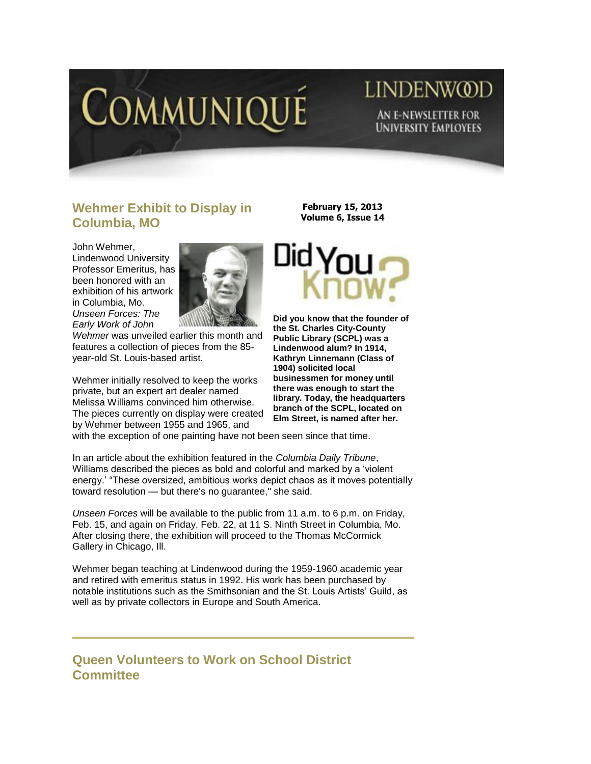

## LINDENW@D AN E-NEWSLETTER FOR **UNIVERSITY EMPLOYEES**

## **Wehmer Exhibit to Display in Columbia, MO**

John Wehmer, Lindenwood University Professor Emeritus, has been honored with an exhibition of his artwork in Columbia, Mo. *Unseen Forces: The Early Work of John* 



*Wehmer* was unveiled earlier this month and features a collection of pieces from the 85 year-old St. Louis-based artist.

Wehmer initially resolved to keep the works private, but an expert art dealer named Melissa Williams convinced him otherwise. The pieces currently on display were created by Wehmer between 1955 and 1965, and

**February 15, 2013 Volume 6, Issue 14**



**Did you know that the founder of the St. Charles City-County Public Library (SCPL) was a Lindenwood alum? In 1914, Kathryn Linnemann (Class of 1904) solicited local businessmen for money until there was enough to start the library. Today, the headquarters branch of the SCPL, located on Elm Street, is named after her.** 

with the exception of one painting have not been seen since that time.

In an article about the exhibition featured in the *Columbia Daily Tribune*, Williams described the pieces as bold and colorful and marked by a "violent energy." "These oversized, ambitious works depict chaos as it moves potentially toward resolution — but there's no guarantee," she said.

*Unseen Forces* will be available to the public from 11 a.m. to 6 p.m. on Friday, Feb. 15, and again on Friday, Feb. 22, at 11 S. Ninth Street in Columbia, Mo. After closing there, the exhibition will proceed to the Thomas McCormick Gallery in Chicago, Ill.

Wehmer began teaching at Lindenwood during the 1959-1960 academic year and retired with emeritus status in 1992. His work has been purchased by notable institutions such as the Smithsonian and the St. Louis Artists" Guild, as well as by private collectors in Europe and South America.

## **Queen Volunteers to Work on School District Committee**